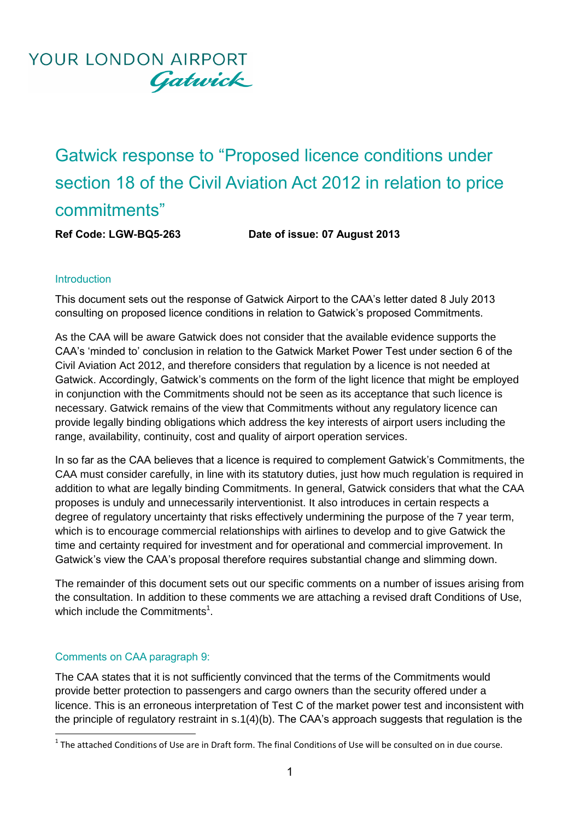Gatwick response to "Proposed licence conditions under section 18 of the Civil Aviation Act 2012 in relation to price commitments"

**Ref Code: LGW-BQ5-263 Date of issue: 07 August 2013**

## **Introduction**

This document sets out the response of Gatwick Airport to the CAA's letter dated 8 July 2013 consulting on proposed licence conditions in relation to Gatwick's proposed Commitments.

As the CAA will be aware Gatwick does not consider that the available evidence supports the CAA's 'minded to' conclusion in relation to the Gatwick Market Power Test under section 6 of the Civil Aviation Act 2012, and therefore considers that regulation by a licence is not needed at Gatwick. Accordingly, Gatwick's comments on the form of the light licence that might be employed in conjunction with the Commitments should not be seen as its acceptance that such licence is necessary. Gatwick remains of the view that Commitments without any regulatory licence can provide legally binding obligations which address the key interests of airport users including the range, availability, continuity, cost and quality of airport operation services.

In so far as the CAA believes that a licence is required to complement Gatwick's Commitments, the CAA must consider carefully, in line with its statutory duties, just how much regulation is required in addition to what are legally binding Commitments. In general, Gatwick considers that what the CAA proposes is unduly and unnecessarily interventionist. It also introduces in certain respects a degree of regulatory uncertainty that risks effectively undermining the purpose of the 7 year term, which is to encourage commercial relationships with airlines to develop and to give Gatwick the time and certainty required for investment and for operational and commercial improvement. In Gatwick's view the CAA's proposal therefore requires substantial change and slimming down.

The remainder of this document sets out our specific comments on a number of issues arising from the consultation. In addition to these comments we are attaching a revised draft Conditions of Use, which include the Commitments $<sup>1</sup>$ .</sup>

## Comments on CAA paragraph 9:

The CAA states that it is not sufficiently convinced that the terms of the Commitments would provide better protection to passengers and cargo owners than the security offered under a licence. This is an erroneous interpretation of Test C of the market power test and inconsistent with the principle of regulatory restraint in s.1(4)(b). The CAA's approach suggests that regulation is the

 1 The attached Conditions of Use are in Draft form. The final Conditions of Use will be consulted on in due course.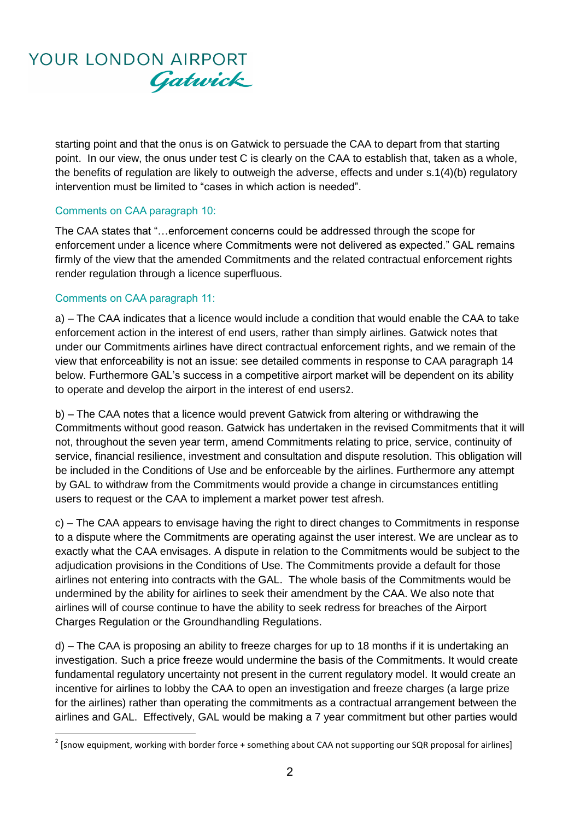

starting point and that the onus is on Gatwick to persuade the CAA to depart from that starting point. In our view, the onus under test C is clearly on the CAA to establish that, taken as a whole, the benefits of regulation are likely to outweigh the adverse, effects and under s.1(4)(b) regulatory intervention must be limited to "cases in which action is needed".

### Comments on CAA paragraph 10:

The CAA states that "…enforcement concerns could be addressed through the scope for enforcement under a licence where Commitments were not delivered as expected." GAL remains firmly of the view that the amended Commitments and the related contractual enforcement rights render regulation through a licence superfluous.

### Comments on CAA paragraph 11:

a) – The CAA indicates that a licence would include a condition that would enable the CAA to take enforcement action in the interest of end users, rather than simply airlines. Gatwick notes that under our Commitments airlines have direct contractual enforcement rights, and we remain of the view that enforceability is not an issue: see detailed comments in response to CAA paragraph 14 below. Furthermore GAL's success in a competitive airport market will be dependent on its ability to operate and develop the airport in the interest of end users2.

b) – The CAA notes that a licence would prevent Gatwick from altering or withdrawing the Commitments without good reason. Gatwick has undertaken in the revised Commitments that it will not, throughout the seven year term, amend Commitments relating to price, service, continuity of service, financial resilience, investment and consultation and dispute resolution. This obligation will be included in the Conditions of Use and be enforceable by the airlines. Furthermore any attempt by GAL to withdraw from the Commitments would provide a change in circumstances entitling users to request or the CAA to implement a market power test afresh.

c) – The CAA appears to envisage having the right to direct changes to Commitments in response to a dispute where the Commitments are operating against the user interest. We are unclear as to exactly what the CAA envisages. A dispute in relation to the Commitments would be subject to the adjudication provisions in the Conditions of Use. The Commitments provide a default for those airlines not entering into contracts with the GAL. The whole basis of the Commitments would be undermined by the ability for airlines to seek their amendment by the CAA. We also note that airlines will of course continue to have the ability to seek redress for breaches of the Airport Charges Regulation or the Groundhandling Regulations.

d) – The CAA is proposing an ability to freeze charges for up to 18 months if it is undertaking an investigation. Such a price freeze would undermine the basis of the Commitments. It would create fundamental regulatory uncertainty not present in the current regulatory model. It would create an incentive for airlines to lobby the CAA to open an investigation and freeze charges (a large prize for the airlines) rather than operating the commitments as a contractual arrangement between the airlines and GAL. Effectively, GAL would be making a 7 year commitment but other parties would

 2 [snow equipment, working with border force + something about CAA not supporting our SQR proposal for airlines]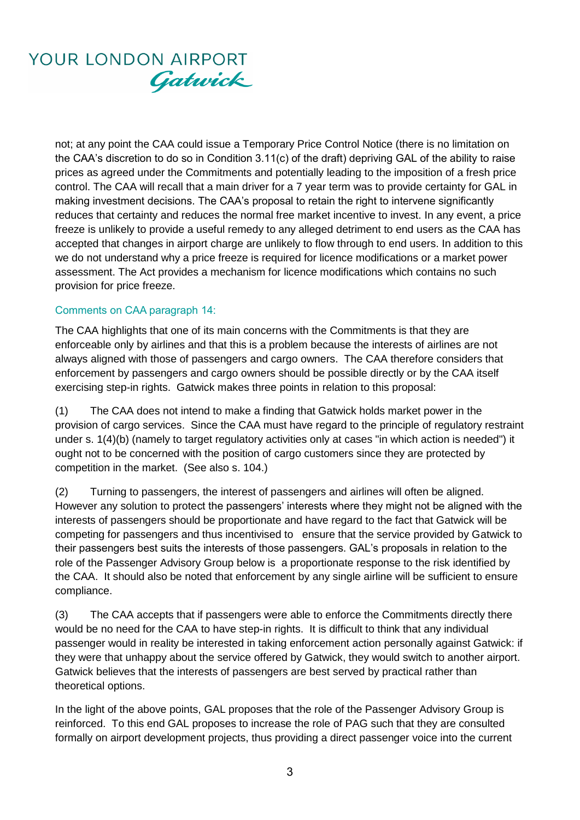not; at any point the CAA could issue a Temporary Price Control Notice (there is no limitation on the CAA's discretion to do so in Condition 3.11(c) of the draft) depriving GAL of the ability to raise prices as agreed under the Commitments and potentially leading to the imposition of a fresh price control. The CAA will recall that a main driver for a 7 year term was to provide certainty for GAL in making investment decisions. The CAA's proposal to retain the right to intervene significantly reduces that certainty and reduces the normal free market incentive to invest. In any event, a price freeze is unlikely to provide a useful remedy to any alleged detriment to end users as the CAA has accepted that changes in airport charge are unlikely to flow through to end users. In addition to this we do not understand why a price freeze is required for licence modifications or a market power assessment. The Act provides a mechanism for licence modifications which contains no such provision for price freeze.

### Comments on CAA paragraph 14:

The CAA highlights that one of its main concerns with the Commitments is that they are enforceable only by airlines and that this is a problem because the interests of airlines are not always aligned with those of passengers and cargo owners. The CAA therefore considers that enforcement by passengers and cargo owners should be possible directly or by the CAA itself exercising step-in rights. Gatwick makes three points in relation to this proposal:

(1) The CAA does not intend to make a finding that Gatwick holds market power in the provision of cargo services. Since the CAA must have regard to the principle of regulatory restraint under s. 1(4)(b) (namely to target regulatory activities only at cases "in which action is needed") it ought not to be concerned with the position of cargo customers since they are protected by competition in the market. (See also s. 104.)

(2) Turning to passengers, the interest of passengers and airlines will often be aligned. However any solution to protect the passengers' interests where they might not be aligned with the interests of passengers should be proportionate and have regard to the fact that Gatwick will be competing for passengers and thus incentivised to ensure that the service provided by Gatwick to their passengers best suits the interests of those passengers. GAL's proposals in relation to the role of the Passenger Advisory Group below is a proportionate response to the risk identified by the CAA. It should also be noted that enforcement by any single airline will be sufficient to ensure compliance.

(3) The CAA accepts that if passengers were able to enforce the Commitments directly there would be no need for the CAA to have step-in rights. It is difficult to think that any individual passenger would in reality be interested in taking enforcement action personally against Gatwick: if they were that unhappy about the service offered by Gatwick, they would switch to another airport. Gatwick believes that the interests of passengers are best served by practical rather than theoretical options.

In the light of the above points, GAL proposes that the role of the Passenger Advisory Group is reinforced. To this end GAL proposes to increase the role of PAG such that they are consulted formally on airport development projects, thus providing a direct passenger voice into the current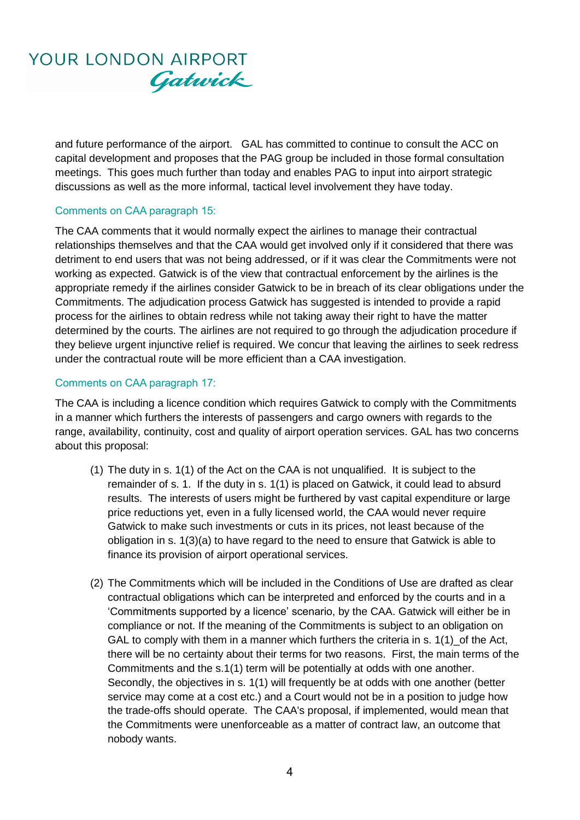and future performance of the airport. GAL has committed to continue to consult the ACC on capital development and proposes that the PAG group be included in those formal consultation meetings. This goes much further than today and enables PAG to input into airport strategic discussions as well as the more informal, tactical level involvement they have today.

### Comments on CAA paragraph 15:

The CAA comments that it would normally expect the airlines to manage their contractual relationships themselves and that the CAA would get involved only if it considered that there was detriment to end users that was not being addressed, or if it was clear the Commitments were not working as expected. Gatwick is of the view that contractual enforcement by the airlines is the appropriate remedy if the airlines consider Gatwick to be in breach of its clear obligations under the Commitments. The adjudication process Gatwick has suggested is intended to provide a rapid process for the airlines to obtain redress while not taking away their right to have the matter determined by the courts. The airlines are not required to go through the adjudication procedure if they believe urgent injunctive relief is required. We concur that leaving the airlines to seek redress under the contractual route will be more efficient than a CAA investigation.

## Comments on CAA paragraph 17:

The CAA is including a licence condition which requires Gatwick to comply with the Commitments in a manner which furthers the interests of passengers and cargo owners with regards to the range, availability, continuity, cost and quality of airport operation services. GAL has two concerns about this proposal:

- (1) The duty in s. 1(1) of the Act on the CAA is not unqualified. It is subject to the remainder of s. 1. If the duty in s. 1(1) is placed on Gatwick, it could lead to absurd results. The interests of users might be furthered by vast capital expenditure or large price reductions yet, even in a fully licensed world, the CAA would never require Gatwick to make such investments or cuts in its prices, not least because of the obligation in s. 1(3)(a) to have regard to the need to ensure that Gatwick is able to finance its provision of airport operational services.
- (2) The Commitments which will be included in the Conditions of Use are drafted as clear contractual obligations which can be interpreted and enforced by the courts and in a 'Commitments supported by a licence' scenario, by the CAA. Gatwick will either be in compliance or not. If the meaning of the Commitments is subject to an obligation on GAL to comply with them in a manner which furthers the criteria in  $s. 1(1)$  of the Act, there will be no certainty about their terms for two reasons. First, the main terms of the Commitments and the s.1(1) term will be potentially at odds with one another. Secondly, the objectives in s. 1(1) will frequently be at odds with one another (better service may come at a cost etc.) and a Court would not be in a position to judge how the trade-offs should operate. The CAA's proposal, if implemented, would mean that the Commitments were unenforceable as a matter of contract law, an outcome that nobody wants.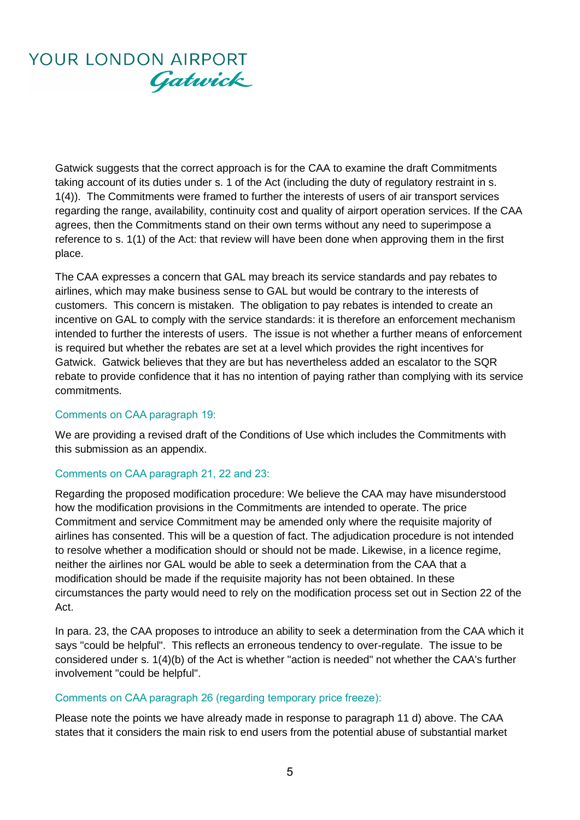Gatwick suggests that the correct approach is for the CAA to examine the draft Commitments taking account of its duties under s. 1 of the Act (including the duty of regulatory restraint in s. 1(4)). The Commitments were framed to further the interests of users of air transport services regarding the range, availability, continuity cost and quality of airport operation services. If the CAA agrees, then the Commitments stand on their own terms without any need to superimpose a reference to s. 1(1) of the Act: that review will have been done when approving them in the first place.

The CAA expresses a concern that GAL may breach its service standards and pay rebates to airlines, which may make business sense to GAL but would be contrary to the interests of customers. This concern is mistaken. The obligation to pay rebates is intended to create an incentive on GAL to comply with the service standards: it is therefore an enforcement mechanism intended to further the interests of users. The issue is not whether a further means of enforcement is required but whether the rebates are set at a level which provides the right incentives for Gatwick. Gatwick believes that they are but has nevertheless added an escalator to the SQR rebate to provide confidence that it has no intention of paying rather than complying with its service commitments.

### Comments on CAA paragraph 19:

We are providing a revised draft of the Conditions of Use which includes the Commitments with this submission as an appendix.

## Comments on CAA paragraph 21, 22 and 23:

Regarding the proposed modification procedure: We believe the CAA may have misunderstood how the modification provisions in the Commitments are intended to operate. The price Commitment and service Commitment may be amended only where the requisite majority of airlines has consented. This will be a question of fact. The adjudication procedure is not intended to resolve whether a modification should or should not be made. Likewise, in a licence regime, neither the airlines nor GAL would be able to seek a determination from the CAA that a modification should be made if the requisite majority has not been obtained. In these circumstances the party would need to rely on the modification process set out in Section 22 of the Act.

In para. 23, the CAA proposes to introduce an ability to seek a determination from the CAA which it says "could be helpful". This reflects an erroneous tendency to over-regulate. The issue to be considered under s. 1(4)(b) of the Act is whether "action is needed" not whether the CAA's further involvement "could be helpful".

### Comments on CAA paragraph 26 (regarding temporary price freeze):

Please note the points we have already made in response to paragraph 11 d) above. The CAA states that it considers the main risk to end users from the potential abuse of substantial market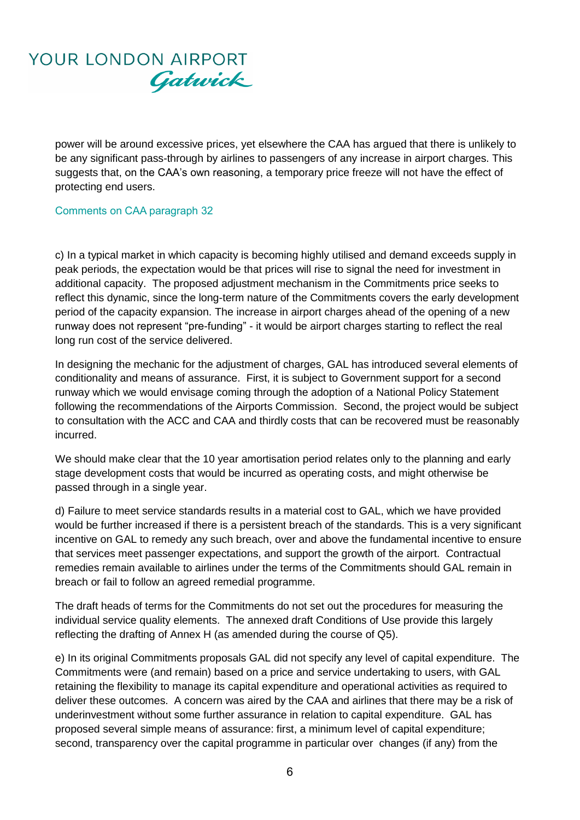

power will be around excessive prices, yet elsewhere the CAA has argued that there is unlikely to be any significant pass-through by airlines to passengers of any increase in airport charges. This suggests that, on the CAA's own reasoning, a temporary price freeze will not have the effect of protecting end users.

#### Comments on CAA paragraph 32

c) In a typical market in which capacity is becoming highly utilised and demand exceeds supply in peak periods, the expectation would be that prices will rise to signal the need for investment in additional capacity. The proposed adjustment mechanism in the Commitments price seeks to reflect this dynamic, since the long-term nature of the Commitments covers the early development period of the capacity expansion. The increase in airport charges ahead of the opening of a new runway does not represent "pre-funding" - it would be airport charges starting to reflect the real long run cost of the service delivered.

In designing the mechanic for the adjustment of charges, GAL has introduced several elements of conditionality and means of assurance. First, it is subject to Government support for a second runway which we would envisage coming through the adoption of a National Policy Statement following the recommendations of the Airports Commission. Second, the project would be subject to consultation with the ACC and CAA and thirdly costs that can be recovered must be reasonably incurred.

We should make clear that the 10 year amortisation period relates only to the planning and early stage development costs that would be incurred as operating costs, and might otherwise be passed through in a single year.

d) Failure to meet service standards results in a material cost to GAL, which we have provided would be further increased if there is a persistent breach of the standards. This is a very significant incentive on GAL to remedy any such breach, over and above the fundamental incentive to ensure that services meet passenger expectations, and support the growth of the airport. Contractual remedies remain available to airlines under the terms of the Commitments should GAL remain in breach or fail to follow an agreed remedial programme.

The draft heads of terms for the Commitments do not set out the procedures for measuring the individual service quality elements. The annexed draft Conditions of Use provide this largely reflecting the drafting of Annex H (as amended during the course of Q5).

e) In its original Commitments proposals GAL did not specify any level of capital expenditure. The Commitments were (and remain) based on a price and service undertaking to users, with GAL retaining the flexibility to manage its capital expenditure and operational activities as required to deliver these outcomes. A concern was aired by the CAA and airlines that there may be a risk of underinvestment without some further assurance in relation to capital expenditure. GAL has proposed several simple means of assurance: first, a minimum level of capital expenditure; second, transparency over the capital programme in particular over changes (if any) from the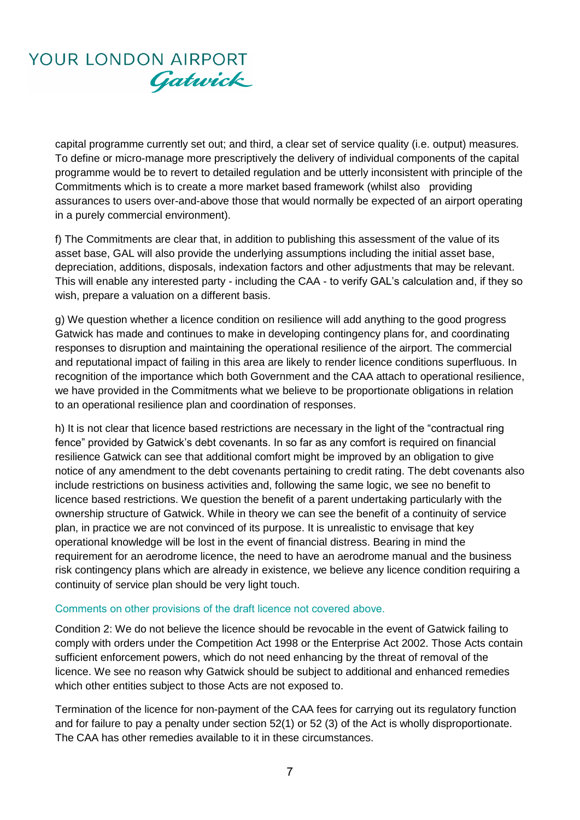capital programme currently set out; and third, a clear set of service quality (i.e. output) measures. To define or micro-manage more prescriptively the delivery of individual components of the capital programme would be to revert to detailed regulation and be utterly inconsistent with principle of the Commitments which is to create a more market based framework (whilst also providing assurances to users over-and-above those that would normally be expected of an airport operating in a purely commercial environment).

f) The Commitments are clear that, in addition to publishing this assessment of the value of its asset base, GAL will also provide the underlying assumptions including the initial asset base, depreciation, additions, disposals, indexation factors and other adjustments that may be relevant. This will enable any interested party - including the CAA - to verify GAL's calculation and, if they so wish, prepare a valuation on a different basis.

g) We question whether a licence condition on resilience will add anything to the good progress Gatwick has made and continues to make in developing contingency plans for, and coordinating responses to disruption and maintaining the operational resilience of the airport. The commercial and reputational impact of failing in this area are likely to render licence conditions superfluous. In recognition of the importance which both Government and the CAA attach to operational resilience, we have provided in the Commitments what we believe to be proportionate obligations in relation to an operational resilience plan and coordination of responses.

h) It is not clear that licence based restrictions are necessary in the light of the "contractual ring fence" provided by Gatwick's debt covenants. In so far as any comfort is required on financial resilience Gatwick can see that additional comfort might be improved by an obligation to give notice of any amendment to the debt covenants pertaining to credit rating. The debt covenants also include restrictions on business activities and, following the same logic, we see no benefit to licence based restrictions. We question the benefit of a parent undertaking particularly with the ownership structure of Gatwick. While in theory we can see the benefit of a continuity of service plan, in practice we are not convinced of its purpose. It is unrealistic to envisage that key operational knowledge will be lost in the event of financial distress. Bearing in mind the requirement for an aerodrome licence, the need to have an aerodrome manual and the business risk contingency plans which are already in existence, we believe any licence condition requiring a continuity of service plan should be very light touch.

### Comments on other provisions of the draft licence not covered above.

Condition 2: We do not believe the licence should be revocable in the event of Gatwick failing to comply with orders under the Competition Act 1998 or the Enterprise Act 2002. Those Acts contain sufficient enforcement powers, which do not need enhancing by the threat of removal of the licence. We see no reason why Gatwick should be subject to additional and enhanced remedies which other entities subject to those Acts are not exposed to.

Termination of the licence for non-payment of the CAA fees for carrying out its regulatory function and for failure to pay a penalty under section 52(1) or 52 (3) of the Act is wholly disproportionate. The CAA has other remedies available to it in these circumstances.